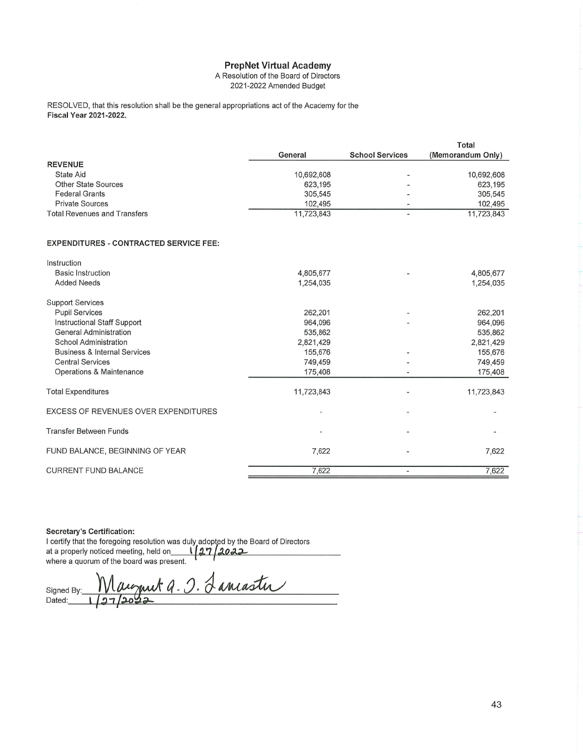## **PrepNet Virtual Academy**

A Resolution of the Board of Directors 2021-2022 Amended Budget

RESOLVED, that this resolution shall be the general appropriations act of the Academy for the **Fiscal Year 2021-2022.** 

|                                               |            |                          | Total             |
|-----------------------------------------------|------------|--------------------------|-------------------|
|                                               | General    | <b>School Services</b>   | (Memorandum Only) |
| <b>REVENUE</b>                                |            |                          |                   |
| <b>State Aid</b>                              | 10,692,608 |                          | 10,692,608        |
| <b>Other State Sources</b>                    | 623,195    | ٠                        | 623,195           |
| <b>Federal Grants</b>                         | 305,545    | $\overline{\phantom{a}}$ | 305,545           |
| <b>Private Sources</b>                        | 102,495    |                          | 102,495           |
| <b>Total Revenues and Transfers</b>           | 11,723,843 | $\overline{a}$           | 11,723,843        |
| <b>EXPENDITURES - CONTRACTED SERVICE FEE:</b> |            |                          |                   |
| Instruction                                   |            |                          |                   |
| <b>Basic Instruction</b>                      | 4,805,677  |                          | 4,805,677         |
| <b>Added Needs</b>                            | 1,254,035  |                          | 1,254,035         |
|                                               |            |                          |                   |
| <b>Support Services</b>                       |            |                          |                   |
| <b>Pupil Services</b>                         | 262,201    | $\overline{a}$           | 262,201           |
| Instructional Staff Support                   | 964,096    |                          | 964,096           |
| <b>General Administration</b>                 | 535.862    |                          | 535.862           |

| General Administration                  | 535,862                  |                          | 535,862    |
|-----------------------------------------|--------------------------|--------------------------|------------|
| School Administration                   | 2,821,429                |                          | 2,821,429  |
| <b>Business &amp; Internal Services</b> | 155,676                  | $\overline{\phantom{0}}$ | 155,676    |
| <b>Central Services</b>                 | 749,459                  |                          | 749,459    |
| Operations & Maintenance                | 175,408                  |                          | 175,408    |
| <b>Total Expenditures</b>               | 11,723,843               |                          | 11,723,843 |
| EXCESS OF REVENUES OVER EXPENDITURES    |                          |                          |            |
| Transfer Between Funds                  | $\overline{\phantom{a}}$ | ۰                        |            |
| FUND BALANCE, BEGINNING OF YEAR         | 7,622                    | -                        | 7,622      |
| <b>CURRENT FUND BALANCE</b>             | 7,622                    |                          | 7,622      |

## Secretary's Certification:

I certify that the foregoing resolution was duly adopted by the Board of Directors<br>at a properly noticed meeting, held on  $\sqrt{27/2022}$ <br>where a quorum of the board was present.

et a. O. Lancaster Signed By Dated: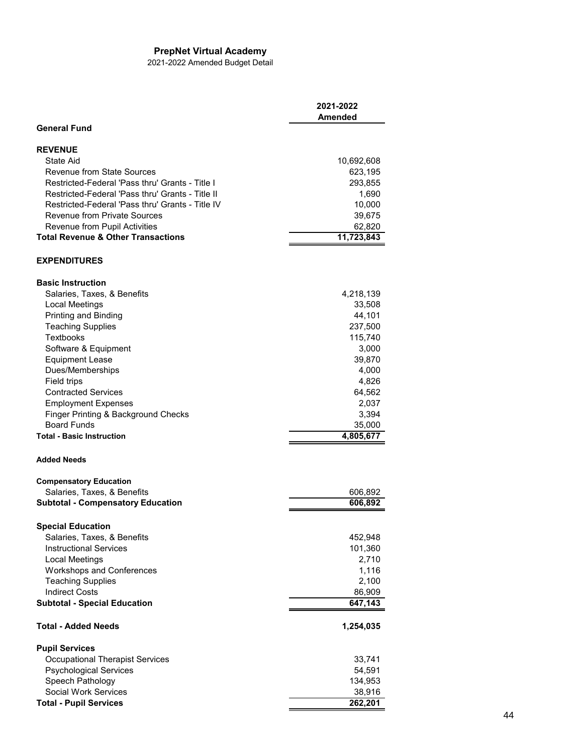## **PrepNet Virtual Academy**

2021-2022 Amended Budget Detail

|                                                  | 2021-2022<br>Amended |
|--------------------------------------------------|----------------------|
| <b>General Fund</b>                              |                      |
| <b>REVENUE</b>                                   |                      |
| State Aid                                        | 10,692,608           |
| <b>Revenue from State Sources</b>                | 623,195              |
| Restricted-Federal 'Pass thru' Grants - Title I  | 293,855              |
| Restricted-Federal 'Pass thru' Grants - Title II | 1,690                |
| Restricted-Federal 'Pass thru' Grants - Title IV | 10,000               |
| <b>Revenue from Private Sources</b>              | 39,675               |
| Revenue from Pupil Activities                    | 62,820               |
| <b>Total Revenue &amp; Other Transactions</b>    | 11,723,843           |
| <b>EXPENDITURES</b>                              |                      |
| <b>Basic Instruction</b>                         |                      |
| Salaries, Taxes, & Benefits                      | 4,218,139            |
| <b>Local Meetings</b>                            | 33,508               |
| Printing and Binding                             | 44,101               |
| <b>Teaching Supplies</b>                         | 237,500              |
| <b>Textbooks</b>                                 | 115,740              |
| Software & Equipment                             | 3,000                |
| <b>Equipment Lease</b>                           | 39,870               |
| Dues/Memberships                                 | 4,000                |
| Field trips                                      | 4,826                |
| <b>Contracted Services</b>                       | 64,562               |
| <b>Employment Expenses</b>                       | 2,037                |
| Finger Printing & Background Checks              | 3,394                |
| <b>Board Funds</b>                               | 35,000               |
| <b>Total - Basic Instruction</b>                 | 4,805,677            |
| <b>Added Needs</b>                               |                      |
| <b>Compensatory Education</b>                    |                      |
| Salaries, Taxes, & Benefits                      | 606,892              |
| <b>Subtotal - Compensatory Education</b>         | 606,892              |
| <b>Special Education</b>                         |                      |
| Salaries, Taxes, & Benefits                      | 452,948              |
| <b>Instructional Services</b>                    | 101,360              |
| <b>Local Meetings</b>                            | 2,710                |
| Workshops and Conferences                        | 1,116                |
| <b>Teaching Supplies</b>                         | 2,100                |
| <b>Indirect Costs</b>                            | 86,909               |
| <b>Subtotal - Special Education</b>              | 647,143              |
| Total - Added Needs                              | 1,254,035            |
| <b>Pupil Services</b>                            |                      |
| <b>Occupational Therapist Services</b>           | 33,741               |
| <b>Psychological Services</b>                    | 54,591               |
| Speech Pathology                                 | 134,953              |
| Social Work Services                             | 38,916               |
| <b>Total - Pupil Services</b>                    | 262,201              |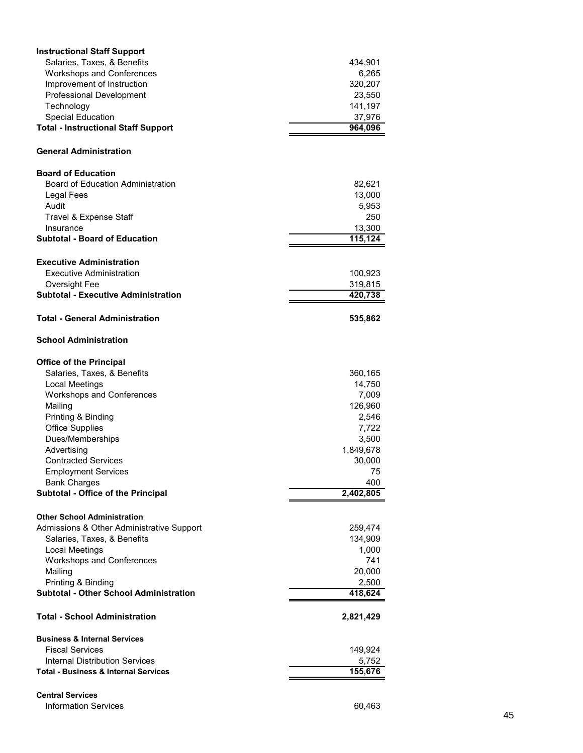| <b>Instructional Staff Support</b>                                  |                       |
|---------------------------------------------------------------------|-----------------------|
| Salaries, Taxes, & Benefits                                         | 434,901               |
| <b>Workshops and Conferences</b>                                    | 6,265                 |
| Improvement of Instruction                                          | 320,207               |
| <b>Professional Development</b>                                     | 23,550                |
| Technology                                                          | 141,197               |
| <b>Special Education</b>                                            | 37,976                |
| <b>Total - Instructional Staff Support</b>                          | 964,096               |
|                                                                     |                       |
| <b>General Administration</b>                                       |                       |
| <b>Board of Education</b>                                           |                       |
| <b>Board of Education Administration</b>                            | 82,621                |
| Legal Fees                                                          | 13,000                |
| Audit                                                               | 5,953                 |
| Travel & Expense Staff                                              | 250                   |
| Insurance                                                           | 13,300                |
| <b>Subtotal - Board of Education</b>                                | $\overline{11}5, 124$ |
|                                                                     |                       |
| <b>Executive Administration</b><br>Executive Administration         | 100,923               |
| Oversight Fee                                                       | 319,815               |
| <b>Subtotal - Executive Administration</b>                          | 420,738               |
|                                                                     |                       |
| Total - General Administration                                      | 535,862               |
| <b>School Administration</b>                                        |                       |
| <b>Office of the Principal</b>                                      |                       |
| Salaries, Taxes, & Benefits                                         | 360,165               |
| Local Meetings                                                      | 14,750                |
| <b>Workshops and Conferences</b>                                    | 7,009                 |
| Mailing                                                             | 126,960               |
| Printing & Binding                                                  | 2,546                 |
| <b>Office Supplies</b>                                              | 7,722                 |
| Dues/Memberships                                                    | 3,500                 |
| Advertising                                                         | 1,849,678             |
| <b>Contracted Services</b>                                          | 30,000                |
| <b>Employment Services</b>                                          | 75                    |
| <b>Bank Charges</b>                                                 | 400                   |
| Subtotal - Office of the Principal                                  | 2,402,805             |
|                                                                     |                       |
| <b>Other School Administration</b>                                  |                       |
| Admissions & Other Administrative Support                           | 259,474               |
| Salaries, Taxes, & Benefits                                         | 134,909               |
| <b>Local Meetings</b>                                               | 1,000<br>741          |
| <b>Workshops and Conferences</b>                                    |                       |
| Mailing                                                             | 20,000                |
| Printing & Binding<br><b>Subtotal - Other School Administration</b> | 2,500<br>418,624      |
|                                                                     |                       |
| <b>Total - School Administration</b>                                | 2,821,429             |
| <b>Business &amp; Internal Services</b>                             |                       |
| <b>Fiscal Services</b>                                              | 149,924               |
| <b>Internal Distribution Services</b>                               | 5,752                 |
| <b>Total - Business &amp; Internal Services</b>                     | 155,676               |
|                                                                     |                       |
| <b>Central Services</b>                                             |                       |

```
Information Services 60,463
```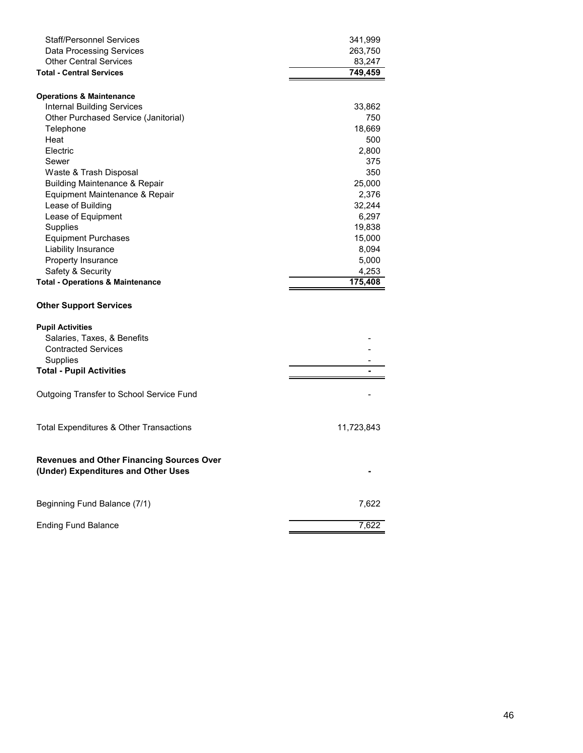| <b>Staff/Personnel Services</b>                  | 341,999    |
|--------------------------------------------------|------------|
| <b>Data Processing Services</b>                  | 263,750    |
| <b>Other Central Services</b>                    | 83,247     |
| <b>Total - Central Services</b>                  | 749,459    |
|                                                  |            |
| <b>Operations &amp; Maintenance</b>              |            |
| <b>Internal Building Services</b>                | 33,862     |
| Other Purchased Service (Janitorial)             | 750        |
| Telephone                                        | 18,669     |
| Heat                                             | 500        |
| Electric                                         | 2,800      |
| Sewer                                            | 375        |
| Waste & Trash Disposal                           | 350        |
| <b>Building Maintenance &amp; Repair</b>         | 25,000     |
| Equipment Maintenance & Repair                   | 2,376      |
| Lease of Building                                | 32,244     |
| Lease of Equipment                               | 6,297      |
| Supplies                                         | 19,838     |
| <b>Equipment Purchases</b>                       | 15,000     |
| Liability Insurance                              | 8,094      |
| Property Insurance                               | 5,000      |
| Safety & Security                                | 4,253      |
| <b>Total - Operations &amp; Maintenance</b>      | 175,408    |
|                                                  |            |
|                                                  |            |
| <b>Other Support Services</b>                    |            |
|                                                  |            |
| <b>Pupil Activities</b>                          |            |
| Salaries, Taxes, & Benefits                      |            |
| <b>Contracted Services</b>                       |            |
| Supplies                                         |            |
| <b>Total - Pupil Activities</b>                  |            |
|                                                  |            |
|                                                  |            |
| Outgoing Transfer to School Service Fund         |            |
|                                                  |            |
| Total Expenditures & Other Transactions          | 11,723,843 |
|                                                  |            |
|                                                  |            |
| <b>Revenues and Other Financing Sources Over</b> |            |
| (Under) Expenditures and Other Uses              |            |
|                                                  |            |
|                                                  |            |
| Beginning Fund Balance (7/1)                     | 7,622      |
| <b>Ending Fund Balance</b>                       | 7,622      |